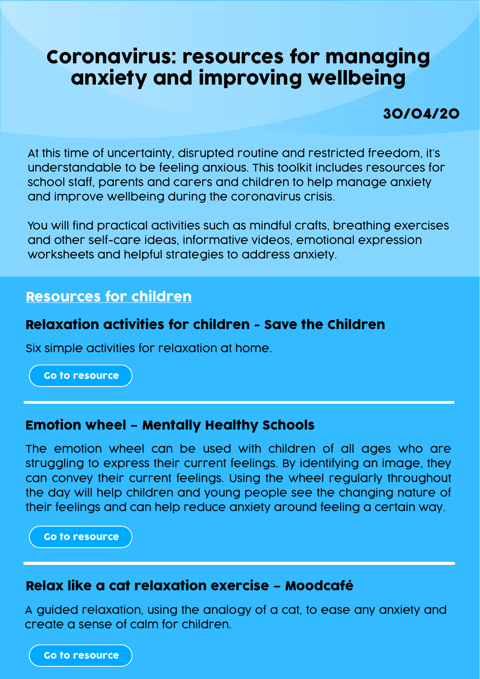# Coronavirus: resources for managing anxiety and improving wellbeing

30/04/20

At this time of uncertainty, disrupted routine and restricted freedom, it's understandable to be feeling anxious. This toolkit includes resources for school staff, parents and carers and children to help manage anxiety and improve wellbeing during the coronavirus crisis.

You will find practical activities such as mindful crafts, breathing exercises and other self-care ideas, informative videos, emotional expression worksheets and helpful strategies to address anxiety.

# Resources for children

# Relaxation activities for children - Save the Children

Six simple activities for relaxation at home.

[Go to resource](https://www.savethechildren.org.uk/what-we-do/coronavirus/resources/learning-at-home/relaxation-exercises-to-do-at-home-with-your-kids)

#### Emotion wheel – Mentally Healthy Schools

The emotion wheel can be used with children of all ages who are struggling to express their current feelings. By identifying an image, they can convey their current feelings. Using the wheel regularly throughout the day will help children and young people see the changing nature of their feelings and can help reduce anxiety around feeling a certain way.

[Go to resource](https://www.mentallyhealthyschools.org.uk/resources/emotion-wheel?pdf=coronavirus-anxiety-toolkit)

## Relax like a cat relaxation exercise – Moodcafé

A guided relaxation, using the analogy of a cat, to ease any anxiety and create a sense of calm for children.

[Go to resource](http://www.moodcafe.co.uk/media/26930/Relaxleaflet.pdf)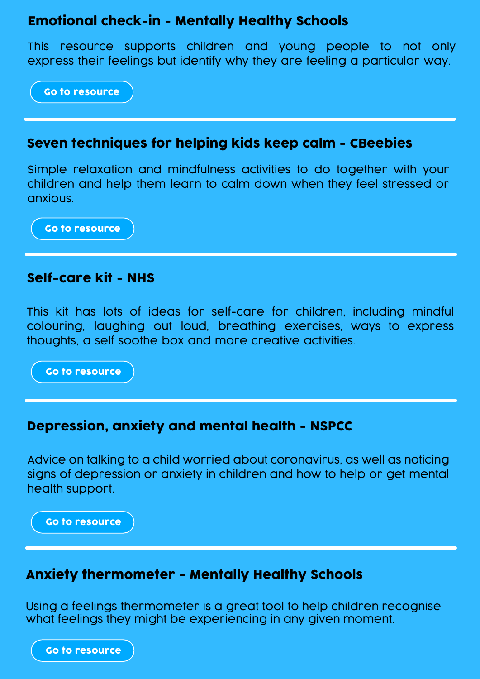# Emotional check-in - Mentally Healthy Schools

This resource supports children and young people to not only express their feelings but identify why they are feeling a particular way.

[Go to resource](https://www.mentallyhealthyschools.org.uk/resources/emotional-check-in?pdf=coronavirus-anxiety-toolkit)

#### Seven techniques for helping kids keep calm - CBeebies

Simple relaxation and mindfulness activities to do together with your children and help them learn to calm down when they feel stressed or anxious.

[Go to resource](https://www.bbc.co.uk/cbeebies/joinin/seven-techniques-for-helping-kids-keep-calm)

#### Self-care kit - NHS

This kit has lots of ideas for self-care for children, including mindful colouring, laughing out loud, breathing exercises, ways to express thoughts, a self soothe box and more creative activities.

[Go to resource](https://www.mentallyhealthyschools.org.uk/resources/self-care-kit?pdf=coronavirus-anxiety-toolkit)

#### Depression, anxiety and mental health - NSPCC

Advice on talking to a child worried about coronavirus, as well as noticing signs of depression or anxiety in children and how to help or get mental health support.

[Go to resource](https://www.nspcc.org.uk/keeping-children-safe/childrens-mental-health/depression-anxiety-mental-health/)

#### Anxiety thermometer - Mentally Healthy Schools

Using a feelings thermometer is a great tool to help children recognise what feelings they might be experiencing in any given moment.

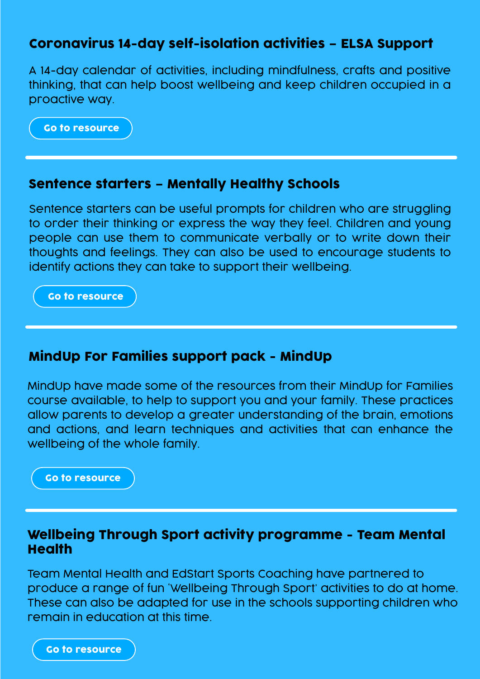# Coronavirus 14-day self-isolation activities – ELSA Support

A 14-day calendar of activities, including mindfulness, crafts and positive thinking, that can help boost wellbeing and keep children occupied in a proactive way.

[Go to resource](https://www.elsa-support.co.uk/coronavirus-14-day-self-isolation-activities/)

#### Sentence starters – Mentally Healthy Schools

Sentence starters can be useful prompts for children who are struggling to order their thinking or express the way they feel. Children and young people can use them to communicate verbally or to write down their thoughts and feelings. They can also be used to encourage students to identify actions they can take to support their wellbeing.

[Go to resource](https://www.mentallyhealthyschools.org.uk/resources/sentence-starters?pdf=coronavirus-anxiety-toolkit)

# MindUp For Families support pack - MindUp

MindUp have made some of the resources from their MindUp for Families course available, to help to support you and your family. These practices allow parents to develop a greater understanding of the brain, emotions and actions, and learn techniques and activities that can enhance the wellbeing of the whole family.

[Go to resource](https://mindup.org.uk/families/)

#### Wellbeing Through Sport activity programme - Team Mental **Health**

Team Mental Health and EdStart Sports Coaching have partnered to produce a range of fun 'Wellbeing Through Sport' activities to do at home. These can also be adapted for use in the schools supporting children who remain in education at this time.

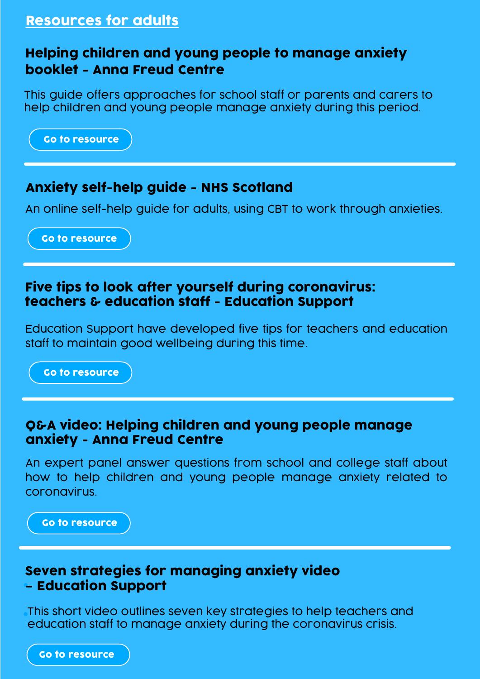# Resources for adults

# Helping children and young people to manage anxiety booklet - Anna Freud Centre

This guide offers approaches for school staff or parents and carers to help children and young people manage anxiety during this period.

[Go to resource](https://www.annafreud.org/media/11465/helping-cyp-manage-anxiety-apr2020-v3.pdf)

# Anxiety self-help guide - NHS Scotland

An online self-help guide for adults, using CBT to work through anxieties.

[Go to resource](https://www.nhsinform.scot/illnesses-and-conditions/mental-health/mental-health-self-help-guides/anxiety-self-help-guide)

## Five tips to look after yourself during coronavirus: teachers & education staff - Education Support

Education Support have developed five tips for teachers and education staff to maintain good wellbeing during this time.

[Go to resource](https://www.educationsupport.org.uk/resources/top-tips/5-tips-look-after-yourself-during-coronavirus-teachers-education-staff)

#### Q&A video: Helping children and young people manage anxiety - Anna Freud Centre

An expert panel answer questions from school and college staff about how to help children and young people manage anxiety related to coronavirus.

[Go to resource](https://www.facebook.com/AFNCCF/videos/556309118348880/)

#### Seven strategies for managing anxiety video – Education Support

This short video outlines seven key strategies to help teachers and education staff to manage anxiety during the coronavirus crisis.

[Go to resource](www.educationsupport.org.uk/resources/video/7-strategies-manage-anxiety-video)